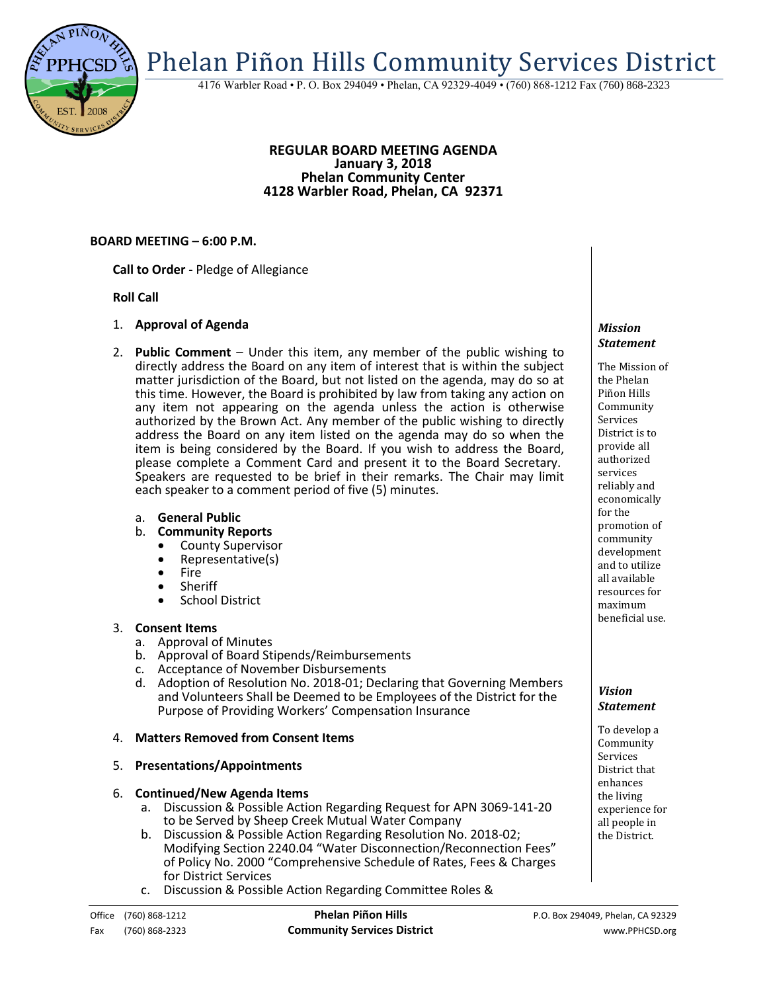Phelan Piñon Hills Community Services District

4176 Warbler Road • P. O. Box 294049 • Phelan, CA 92329-4049 • (760) 868-1212 Fax (760) 868-2323

#### **REGULAR BOARD MEETING AGENDA January 3, 2018 Phelan Community Center 4128 Warbler Road, Phelan, CA 92371**

# **BOARD MEETING – 6:00 P.M.**

**Call to Order -** Pledge of Allegiance

# **Roll Call**

- 1. **Approval of Agenda**
- 2. **Public Comment**  Under this item, any member of the public wishing to directly address the Board on any item of interest that is within the subject matter jurisdiction of the Board, but not listed on the agenda, may do so at this time. However, the Board is prohibited by law from taking any action on any item not appearing on the agenda unless the action is otherwise authorized by the Brown Act. Any member of the public wishing to directly address the Board on any item listed on the agenda may do so when the item is being considered by the Board. If you wish to address the Board, please complete a Comment Card and present it to the Board Secretary. Speakers are requested to be brief in their remarks. The Chair may limit each speaker to a comment period of five (5) minutes.
	- a. **General Public**
	- b. **Community Reports**
		- County Supervisor
		- Representative(s)
		- Fire
		- Sheriff
		- School District

# 3. **Consent Items**

- a. Approval of Minutes
- b. Approval of Board Stipends/Reimbursements
- c. Acceptance of November Disbursements
- d. Adoption of Resolution No. 2018-01; Declaring that Governing Members and Volunteers Shall be Deemed to be Employees of the District for the Purpose of Providing Workers' Compensation Insurance

# 4. **Matters Removed from Consent Items**

# 5. **Presentations/Appointments**

#### 6. **Continued/New Agenda Items**

- a. Discussion & Possible Action Regarding Request for APN 3069-141-20 to be Served by Sheep Creek Mutual Water Company
- b. Discussion & Possible Action Regarding Resolution No. 2018-02; Modifying Section 2240.04 "Water Disconnection/Reconnection Fees" of Policy No. 2000 "Comprehensive Schedule of Rates, Fees & Charges for District Services
- c. Discussion & Possible Action Regarding Committee Roles &

#### *Mission Statement*

The Mission of the Phelan Piñon Hills Community Services District is to provide all authorized services reliably and economically for the promotion of community development and to utilize all available resources for maximum beneficial use.

# *Vision Statement*

To develop a Community Services District that enhances the living experience for all people in the District.